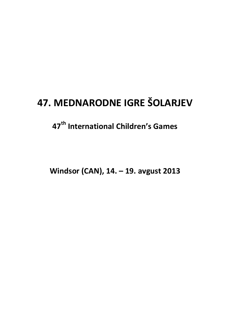# **47. MEDNARODNE IGRE ŠOLARJEV**

# **47th International Children's Games**

**Windsor (CAN), 14. – 19. avgust 2013**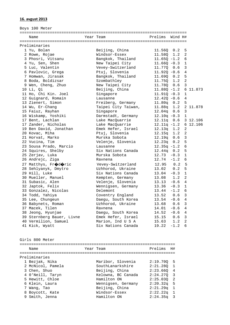## **16. avgust 2013**

| Prelims<br>Year Team<br>Wind H#<br>Name<br>Preliminaries<br>1 Yu, Bolan<br>Beijing, China<br>5<br>11.56Q<br>0.2<br>2 Rowe, Rojae<br>Windsor-Essex<br>11.58Q<br>1.2<br>2<br>Bangkok, Thailand<br>3 Phosri, Vitsanu<br>$11.65Q - 1.2$<br>6<br>4 Yu, Sen, Shen<br>New Taipei City<br>$11.66Q - 0.3$<br>$\mathbf{1}$<br>5 Luc, Valentin<br>Vevey-Switzerland<br>3<br>11.770 0.6<br>6 Pavlovic, Grega<br>Ptuj, Slovenia<br>$11.92Q - 0.6$<br>4 |
|-------------------------------------------------------------------------------------------------------------------------------------------------------------------------------------------------------------------------------------------------------------------------------------------------------------------------------------------------------------------------------------------------------------------------------------------|
|                                                                                                                                                                                                                                                                                                                                                                                                                                           |
|                                                                                                                                                                                                                                                                                                                                                                                                                                           |
|                                                                                                                                                                                                                                                                                                                                                                                                                                           |
|                                                                                                                                                                                                                                                                                                                                                                                                                                           |
|                                                                                                                                                                                                                                                                                                                                                                                                                                           |
|                                                                                                                                                                                                                                                                                                                                                                                                                                           |
|                                                                                                                                                                                                                                                                                                                                                                                                                                           |
|                                                                                                                                                                                                                                                                                                                                                                                                                                           |
|                                                                                                                                                                                                                                                                                                                                                                                                                                           |
| Bangkok, Thailand<br>5<br>7 Homwan, Jirasak<br>11.69Q<br>0.2                                                                                                                                                                                                                                                                                                                                                                              |
| $\overline{a}$<br>8 Boda, Boldizsar<br>Szombathley<br>11.75Q<br>1.2                                                                                                                                                                                                                                                                                                                                                                       |
| 9 Wen, Cheng, Zhuo<br>New Taipei City<br>3<br>11.78Q<br>0.6                                                                                                                                                                                                                                                                                                                                                                               |
| 10 Li, Qi<br>Beijing, China<br>$11.88Q - 1.2$<br>6 11.873                                                                                                                                                                                                                                                                                                                                                                                 |
| 11 Ho, Chi Kin. Joel<br>$11.91Q - 0.3$<br>$\mathbf{1}$<br>Singapore                                                                                                                                                                                                                                                                                                                                                                       |
| 12 Guignard, Romain<br>$12.42Q - 0.6$<br>$\overline{4}$<br>Lausanne                                                                                                                                                                                                                                                                                                                                                                       |
| 13 Zienert, Simon<br>5<br>Freiberg, Germany<br>$11.80q$ 0.2                                                                                                                                                                                                                                                                                                                                                                               |
| Taipei City Taiwan,<br>2 11.878<br>14 Wu, Er-Chang<br>11.88q<br>1.2                                                                                                                                                                                                                                                                                                                                                                       |
| 15 Faiuz, Rayhan<br>Singapore<br>3<br>12.04q<br>0.6                                                                                                                                                                                                                                                                                                                                                                                       |
| 16 Wiskamp, Yoshiki<br>Darmstadt, Germany<br>$12.10q - 0.3$<br>$\mathbf{1}$                                                                                                                                                                                                                                                                                                                                                               |
| 17 Bent, Lachlan<br>3 12.106<br>Lake MacQuarrie<br>$12.11q$ 0.6                                                                                                                                                                                                                                                                                                                                                                           |
| 17 Zander, Nicholas<br>Lake MacOuarrie<br>6 12.106<br>$12.11q - 1.2$                                                                                                                                                                                                                                                                                                                                                                      |
| 19 Ben David, Jonathan<br>Emek Hefer, Israel<br>2<br>12.13q<br>1.2                                                                                                                                                                                                                                                                                                                                                                        |
| 2<br>20 Kovac, Miha<br>Ptuj, Slovenia<br>12.15q<br>1.2                                                                                                                                                                                                                                                                                                                                                                                    |
| 21 Horvat, Marko<br>Murska Sobota<br>3<br>12.19q<br>0.6                                                                                                                                                                                                                                                                                                                                                                                   |
| 5<br>22 Vucina, Tim<br>Velenje, Slovenia<br>12.23q<br>0.2                                                                                                                                                                                                                                                                                                                                                                                 |
| 23 Sousa Prado, Marcio<br>6<br>Lausanne<br>$12.35q -1.2$                                                                                                                                                                                                                                                                                                                                                                                  |
| 5<br>24 Squires, Shelby<br>Six Nations Canada<br>$12.44q$ 0.2                                                                                                                                                                                                                                                                                                                                                                             |
| 25 Zerjav, Luka<br>Murska Sobota<br>$\mathbf{1}$<br>$12.73 - 0.3$                                                                                                                                                                                                                                                                                                                                                                         |
| 26 Andrejc, Ziga<br>12.74<br>$-1.2$<br>6<br>Ravnena                                                                                                                                                                                                                                                                                                                                                                                       |
| 27 Matthys, Frodoric<br>12.95<br>0.2<br>5<br>Vevey-Switzerland                                                                                                                                                                                                                                                                                                                                                                            |
| Uzhhorod, Ukraine<br>5<br>28 Sehlyanyk, Dmytro<br>13.02<br>0.2                                                                                                                                                                                                                                                                                                                                                                            |
| 29 Hill, Luke<br>Six Nations Canada<br>13.04<br>$\mathbf{1}$<br>$-0.3$                                                                                                                                                                                                                                                                                                                                                                    |
| 2<br>30 Mueller, Manuel<br>Kempten, Germany<br>13.08<br>1.2                                                                                                                                                                                                                                                                                                                                                                               |
| 31 Subasic, Alen<br>Velenje, Slovenia<br>13.13<br>$-0.6$<br>4                                                                                                                                                                                                                                                                                                                                                                             |
| Wennigsen, Germany<br>32 Japtok, Felix<br>13.36<br>$-0.3$<br>$\mathbf{1}$                                                                                                                                                                                                                                                                                                                                                                 |
| 33 Gonzalez, Nicolas<br>Delemont<br>13.44<br>$-1.2$<br>6                                                                                                                                                                                                                                                                                                                                                                                  |
| 34 Todd, Yahiya<br>3<br>Coventry England<br>13.52<br>0.6                                                                                                                                                                                                                                                                                                                                                                                  |
| 35 Lee, Chungeun<br>Daegu, South Korea<br>13.54<br>$-0.6$<br>4                                                                                                                                                                                                                                                                                                                                                                            |
| 3<br>36 Babynets, Roman<br>Uzhhorod, Ukraine<br>13.68<br>0.6                                                                                                                                                                                                                                                                                                                                                                              |
| 37 Macek, Tilen<br>4<br>14.01<br>$-0.6$<br>Ravnena                                                                                                                                                                                                                                                                                                                                                                                        |
| 38 Jeong, Hyunjae<br>14.52<br>4<br>Daegu, South Korea<br>$-0.6$                                                                                                                                                                                                                                                                                                                                                                           |
| Emek Hefer, Israel<br>15.15<br>3<br>39 Sternberg Bauer, Livne<br>0.6                                                                                                                                                                                                                                                                                                                                                                      |
| 40 Vermilion, Samuel<br>2<br>Marion, Ind U S A<br>15.63<br>1.2                                                                                                                                                                                                                                                                                                                                                                            |
| 6<br>41 Kick, Wyatt<br>Six Nations Canada<br>19.22<br>$-1.2$                                                                                                                                                                                                                                                                                                                                                                              |

Girls 800 Meter

=================================================================== Year Team **Prelims** H# =================================================================== Preliminaries 1 Bezjak, Nika Maribor, Slovenia 2:19.70Q 5 2 McNicol, Pamela SouthLanarkshire 2:21.28Q 1 3 Chen, Shuo Beijing, China 2:23.66Q 4 4 0'Neill, Taryn Kelowna, BC Canada 2:24.27Q 3 5 Hewitt, Chloe Hamilton ON 2:25.03Q 2 6 Klein, Laura Wennigsen, Germany 2:20.32q 5 7 Wang, Tao Beijing, China 2:21.29q 1 8 Boycott, Kate Windsor-Essex 2:22.22q 1 9 Smith, Jenna Hamilton ON 2:24.35q 3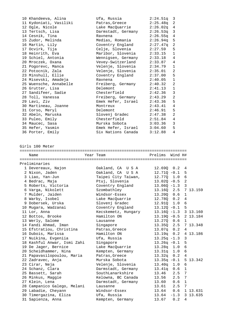| 10 Khandeeva, Alina                    | Ufa, Russia                            | $2:24.51q$ 3                           |          |
|----------------------------------------|----------------------------------------|----------------------------------------|----------|
| 11 Kydoniati, Vasiliki                 | Patras, Greece                         | 2:25.48q<br>2                          |          |
| 12 Ogle, Nicole                        | Lake MacQuarrie                        | $2:26.02q$ 4                           |          |
| 13 Tertsch, Lisa                       | Darmstadt, Germany                     | $2:26.53q$ 3                           |          |
| 14 Cesnik, Tina                        | Ravnena                                | 2:26.55q<br>$\overline{4}$             |          |
| 15 Zudor, Melinda                      | Medias, Romania                        | 5<br>2:26.94q                          |          |
| 16 Martin, Lily                        | Coventry England                       | 2<br>$2:27.47$ q                       |          |
| 17 Ocvirk, Tija                        | Celje, Slovenia                        | 5<br>2:27.59                           |          |
| 18 Heinrith, Eva                       | Maribor, Slovenia                      | $\mathbf{1}$<br>2:33.15                |          |
| 19 Schiel, Antonia                     | Wennigsen, Germany                     | 2:33.18<br>4                           |          |
| 20 Mroczek, Oxana                      | Vevey-Switzerland                      | 2:33.87<br>4                           |          |
| 21 Pogorevc, Manca                     | Velenje, Slovenia                      | 2:34.79<br>$\mathbf{1}$                |          |
| 22 Potocnik, Zala                      | Velenje, Slovenia                      | 2<br>2:35.01                           |          |
| 23 Minshull, Ellie                     | Coventry England                       | 5<br>2:37.00                           |          |
| 24 Misevski, Amadeja                   | Ravnena                                | $\mathbf 1$<br>2:40.05                 |          |
| 25 Wuensche, Annabelle                 | Freiberg, Germany                      | $\sqrt{2}$<br>2:40.32                  |          |
| 26 Grutter, Lisa                       | Delemont                               | $\mathbf{1}$<br>2:41.13                |          |
| 27 Sandifeer, Sadie                    | Chesterfield                           | 2:42.36<br>3                           |          |
| 28 Toll, Vanessa                       | Freiberg, Germany                      | $\overline{a}$<br>2:43.29              |          |
| 29 Lavi, Ziv                           | Emek Hefer, Israel                     | 2:43.36<br>5                           |          |
| 30 Martineau, Joanne                   | Montreux                               | 2:43.41<br>4                           |          |
| 31 Corso, Meryl                        | Delemont                               | 2:46.91<br>5                           |          |
| 32 Abeln, Maruska                      | Slovenj Gradec                         | 2<br>2:47.38                           |          |
| 33 Puleo, Emily                        | Chesterfield                           | 4<br>2:51.84                           |          |
| 34 Maucec, Sasa                        | Murska Sobota                          | $\overline{3}$<br>3:03.36              |          |
| 35 Hefer, Yasmin                       | Emek Hefer, Israel                     | 5<br>3:04.60                           |          |
| 36 Porter, Emily                       | Six Nations Canada                     | 3:12.88<br>4                           |          |
|                                        |                                        |                                        |          |
| Name                                   | Year Team                              | Prelims Wind H#                        |          |
|                                        |                                        |                                        |          |
| Preliminaries                          |                                        |                                        |          |
| 1 Devereaux, Najon                     | Oakland, CA USA                        | 12.69Q 0.2<br>4                        |          |
| 2 Nixon, Jaden                         | Oakland, CA U S A                      | $12.71Q - 0.1$<br>5                    |          |
| 3 Liao, Yan-Jun                        | Taipei City Taiwan,                    | $\epsilon$<br>12.77Q    1.0            |          |
| 4 Bedrac, Maja                         | Ptuj, Slovenia                         | 2<br>$13.02Q - 0.5$                    |          |
| 5 Roberts, Victoria                    | Coventry England                       | 3<br>$13.06Q - 1.3$                    |          |
| 6 Varga, Nikolett                      | Szombathley                            | 13.16Q<br>2.5                          | 7 13.159 |
| 7 Mulder, Jaiden                       | Windsor-Essex                          | 13.20Q<br>0.6<br>1                     |          |
| 8 Warby, Isobel                        | Lake MacQuarrie                        | 0.2<br>12.78Q<br>4                     |          |
| 9 Dobersek, Urska                      | Slovenj Gradec                         | 12.91Q<br>1.0<br>6                     |          |
| 10 Mugara, Wadzanai                    | Coventry England                       | 5<br>$13.120 - 0.1$                    |          |
| 11 Lor, Anna                           | Kecskemetz, Hungary                    | $13.16Q - 1.3$                         | 3 13.160 |
| 12 Bottos, Brooke                      | Hamilton ON                            | $13.19Q - 0.5$                         | 2 13.184 |
| 13 Werly, Salome                       | Lausanne                               | 13.27Q<br>0.6<br>$\mathbf 1$           |          |
| 14 Fandi Ahmad, Iman                   | Singapore                              | 13.35Q<br>2.5                          | 7 13.348 |
| 15 Efstratiou, Christina               | Patras, Greece                         | 4<br>13.07q<br>0.2                     |          |
| 16 Dubois, Marissa                     | Hamilton ON                            | 13.19q<br>0.2                          | 4 13.186 |
| 17 Nuikina, Evgeniia                   | Ufa, Russia                            | 3<br>$13.25q -1.3$                     |          |
| 18 Kashful Anwar, Ismi Zahi            | Singapore                              | $13.26q -0.1$<br>5                     |          |
| 19 De Jager, Bernice                   | Lake MacQuarrie                        | 13.28q<br>1.0<br>6                     |          |
| 20 Scheidhammer, Nina                  | Kempten, Germany                       | 13.31q<br>1.0<br>6                     |          |
| 21 Papavasilopoulou, Maria             | Patras, Greece                         | 4<br>13.32q<br>0.2                     |          |
| 22 Zadravec, Anja                      | Murska Sobota                          | 5<br>$13.35q - 0.1$                    | 13.342   |
| 23 Cirar, Neja                         | Velenje, Slovenia                      | 13.40q<br>6<br>1.0                     |          |
| 24 Schanz, Clara                       | Darmstadt, Germany                     | 13.41q<br>$\mathbf{1}$<br>0.6          |          |
| 25 Bassett, Sarah<br>26 Minkus, Maggie | SouthLanarkshire<br>Kelowna, BC Canada | 13.46<br>2.5<br>7<br>7<br>13.56<br>2.5 |          |

28 Campanico Galego, Melani Lausanne 13.61 2.5 7

29 Labadie, Cheyann Windsor-Essex 13.64 0.6 1 13.631

 30 Timergazina, Eliza Ufa, Russia 13.64 -1.3 3 13.635 31 Sapienza, Anna Kempten, Germany 13.67 0.2 4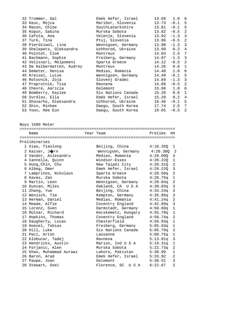| 32 Trommer, Gal            | Emek Hefer, Israel              | 13.68 1.0       |          | 6 |
|----------------------------|---------------------------------|-----------------|----------|---|
| 33 Keuc, Mojca             | Maribor, Slovenia               | 13.73           | $-0.1$ 5 |   |
| 34 Mason, Chloe            | SouthLanarkshire                | $13.81 - 0.1$ 5 |          |   |
| 35 Kopun, Sabina           | Murska Sobota                   | $13.82 - 0.5$ 2 |          |   |
| 36 Cafuta, Ana             | Velenje, Slovenia               | $13.92 -1.3$ 3  |          |   |
| 37 Turk, Tina              | Ptuj, Slovenia                  | $13.96 - 0.5$ 2 |          |   |
| 38 Pierdziwol, Lina        | Wennigsen, Germany              | $13.98 - 1.3$ 3 |          |   |
| 39 Shelepets, Oleksandra   | Uzhhorod, Ukraine               | 13.99 0.2 4     |          |   |
| 40 Pointet, Cloe           | Montreux                        | 14.03 2.5       |          | 7 |
| 41 Bachmann, Sophie        | Freiberg, Germany               | $14.07 - 1.3$ 3 |          |   |
| 42 Velissari, Melpomeni    | Sparta Greece                   | $14.12 - 0.5$ 2 |          |   |
| 43 De Kalbermatten, Audrey | Montreux                        | $14.26$ 0.6 1   |          |   |
| 44 Demeter, Denisa         | Medias, Romania                 | 14.40 1.0 6     |          |   |
| 45 Kreisel, Luise          | Wennigsen, Germany 14.49 -0.1 5 |                 |          |   |
| 46 Rotovnik, Zoja          | Slovenj Gradec                  | $14.69 - 1.3$ 3 |          |   |
| 47 Praprotnik, Tisa        | Ravnena                         | $14.88 - 0.5$ 2 |          |   |
| 48 Chevre, Aaricia         | Delemont                        | 15.06 1.0 6     |          |   |
| 49 Bomberry, Kaylee        | Six Nations Canada              | 15.20 0.6       |          | 1 |
| 50 Svrdlov, Ella           | Emek Hefer, Israel              | $15.29$ 0.2 4   |          |   |
| 51 Shovarho, Oleksandra    | Uzhhorod, Ukraine               | $16.46 - 0.1$ 5 |          |   |
| 52 Shin, Minhee            | Daegu, South Korea 17.74 2.5 7  |                 |          |   |
| 53 Yoon, Hee Eun           | Daequ, South Korea              | 19.65           | $-0.5$ 2 |   |
|                            |                                 |                 |          |   |

Boys 1500 Meter

|  | Name                     |  | Year Team                   | Prelims H#  |                |  |  |  |
|--|--------------------------|--|-----------------------------|-------------|----------------|--|--|--|
|  | Preliminaries            |  |                             |             |                |  |  |  |
|  | 1 Xiao, Tianlong         |  | Beijing, China              | 4:18.35Q    | 1              |  |  |  |
|  | 2 Kaiser, Jorn           |  | Wennigsen, Germany 4:20.30Q |             | $\overline{2}$ |  |  |  |
|  | 3 Vandor, Aslexandru     |  | Medias, Romania             | 4:29.000    | 3              |  |  |  |
|  | 4 Cannella, Quinn        |  | Windsor-Essex               | 4:20.220    | $\mathbf{1}$   |  |  |  |
|  | 5 Hung, Chin, Chu        |  | New Taipei City             | 4:20.31Q    | 2              |  |  |  |
|  | 6 Albeg, Omer            |  | Emek Hefer, Israel          | 4:29.22Q    | 3              |  |  |  |
|  | 7 Lamprinos, Nikolaos    |  | Sparta Greece               | $4:28.58$ q | 2              |  |  |  |
|  | 8 Kavas, Zan             |  | Murska Sobota               | 4:28.75q    | $\mathbf{1}$   |  |  |  |
|  | 9 Martin, Leon           |  | Wennigsen, Germany          | $4:29.64$ q | 2              |  |  |  |
|  | 10 Duncan, Miles         |  | Oakland, CA USA             | 4:30.03q    | $\overline{3}$ |  |  |  |
|  | 11 Zhang, Yue            |  | Beijing, China              | 4:34.24q    | 3              |  |  |  |
|  | 12 Wenisch, Tim          |  | Kempten, Germany            | 4:35.86q    | 3              |  |  |  |
|  | 13 Herman, Daniel        |  | Medias, Romania             | $4:41.24$ q | 2              |  |  |  |
|  | 14 Meade, Alfie          |  | Coventry England            | 4:42.89q    | 3              |  |  |  |
|  | 15 Lorenz, Sven          |  | Darmstadt, Germany          | 4:50.60q    | $\mathbf{1}$   |  |  |  |
|  | 16 Molnar, Richard       |  | Kecskemetz, Hungary         | 4:55.78q    | $\mathbf{1}$   |  |  |  |
|  | 17 Hopkins, Thomas       |  | Coventry England            | $4:56.74$ q | 2              |  |  |  |
|  | 18 Daugherty, Lucas      |  | Chesterfield                | 4:56.93q    | $\mathbf 1$    |  |  |  |
|  | 19 Hoesel, Tobias        |  | Freiberg, Germany           | 5:05.63q    | $\mathbf{1}$   |  |  |  |
|  | 20 Hill, Luke            |  | Six Nations Canada          | 5:05.70q    | $\mathbf{3}$   |  |  |  |
|  | 21 Peci, Arton           |  | Lausanne                    | 5:09.75q    | $\mathbf{1}$   |  |  |  |
|  | 22 Klobucar, Tadej       |  | Ravnena                     | 5:13.91q    | $\mathbf{3}$   |  |  |  |
|  | 23 Hendricks, Austin     |  | Marion, Ind U S A           | 5:19.31q    | $\mathbf{1}$   |  |  |  |
|  | 24 Forjanic, Alen        |  | Murska Sobota               | 5:22.73q    | 2              |  |  |  |
|  | 25 Khan, Muhammad Auraaz |  | Lahore, Pakistan            | 5:30.99     | $\mathbf{1}$   |  |  |  |
|  | 26 Baron, Arad           |  | Emek Hefer, Israel          | 5:33.92     | 2              |  |  |  |
|  | 27 Paupe, Joan           |  | Delemont                    | 5:38.51     | 3              |  |  |  |
|  | 28 Stewart, Osei         |  | Florence, SC USA            | 6:22.67     | $\overline{2}$ |  |  |  |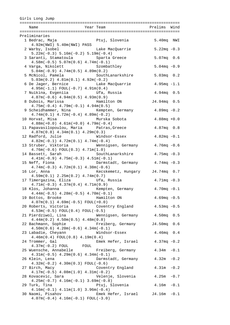| Girls Long Jump                                                                                                                           |                   |                             |
|-------------------------------------------------------------------------------------------------------------------------------------------|-------------------|-----------------------------|
| Year Team North Strelims Wind<br>Name                                                                                                     |                   |                             |
|                                                                                                                                           |                   |                             |
| Preliminaries                                                                                                                             |                   |                             |
| Ptuj, Slovenia<br>1 Bedrac, Maja<br>4.92m(NWI) 5.40m(NWI) PASS                                                                            | 5.40mq NWI        |                             |
| 2 Warby, Isobel<br>Lake MacQuarrie<br>$5.22m(-0.3) 5.16m(-0.2) 5.19m(-0.4)$                                                               | $5.22mg - 0.3$    |                             |
| 3 Saranti, Stamatoula bara Sparta Greece<br>$4.58m(-0.5) 5.07m(0.6) 4.74m(-0.1)$                                                          | $5.07mg$ 0.6      |                             |
| 4 Varga, Nikolett<br>Szombathley                                                                                                          | $5.04mg - 0.9$    |                             |
| $5.04m(-0.9)$ 4.74 $m(0.5)$ 4.89 $m(0.2)$<br>5 McNicol, Pamela<br>SouthLanarkshire                                                        | 5.03mq 0.2        |                             |
| $5.03m(0.2)$ 4.81 $m(0.1)$ 4.92 $m(-0.2)$<br>6 De Jager, Bernice <a> Lake MacQuarrie</a>                                                  | $4.95mg - 1.1$    |                             |
| $4.95m(-1.1) FOUL(-0.7) 4.91m(0.4)$<br>7 Nuikina, Evgeniia               Ufa, Russia                                                      | $4.94mg$ 0.5      |                             |
| $4.87m(-0.6)$ $4.94m(0.5)$ $4.93m(0.9)$<br>8 Dubois, Marissa<br>Hamilton ON                                                               | J4.94mq 0.5       |                             |
| $4.75m(-0.4)$ $4.79m(-0.1)$ $4.94m(0.5)$<br>9 Scheidhammer, Nina Kempten, Germany                                                         | $4.89$ mq $-0.2$  |                             |
| $4.74m(0.1)$ $4.72m(-0.4)$ $4.89m(-0.2)$<br>10 Horvat, Misa<br>Murska Sobota                                                              | $4.88mg + 0.0$    |                             |
| $4.88m(+0.0)$ $4.61m(+0.0)$ $4.79m(-0.4)$<br>11 Papavasilopoulou, Maria Patras, Greece                                                    | 4.87mg 0.8        |                             |
| $4.87m(0.8)$ $4.34m(0.1)$ $4.29m(0.3)$<br>12 Radford, Julie Mindsor-Essex                                                                 | $4.82mg - 0.1$    |                             |
| $4.82m(-0.1)$ $4.72m(0.1)$ $4.74m(-0.4)$<br>13 Struber, Viktoria Mennigsen, Germany                                                       | $4.76mg - 0.6$    |                             |
| $4.76m(-0.6) FOUL(0.3) 4.71m(1.0)$<br>14 Bassett, Sarah<br>SouthLanarkshire                                                               | $4.75mg - 0.3$    |                             |
| $4.41m(-0.9)$ $4.75m(-0.3)$ $4.51m(-0.1)$<br>Darmstadt, Germany $4.74$ mq -0.3<br>15 Neff, Fiona                                          |                   |                             |
| $4.74m(-0.3)$ $4.72m(0.1)$ $4.38m(-0.6)$<br>Kecskemetz, Hungary J4.74mq 0.7<br>16 Lor, Anna                                               |                   |                             |
| 4.59m(0.1) 2.25m(0.2) 4.74m(0.7)<br>17 Timergazina, Eliza<br>Ufa, Russia                                                                  | $4.71mg - 0.3$    |                             |
| $4.71m(-0.3)$ $4.37m(0.4)$ $4.71m(0.9)$<br>18 Klos, Johanna (18) Kempten, Germany                                                         | $4.70$ m $q$ -0.1 |                             |
| $4.44m(-0.5)$ $4.28m(-0.5)$ $4.70m(-0.1)$<br>19 Bottos, Brooke<br>Hamilton ON                                                             | $4.69mg - 0.5$    |                             |
| $4.07m(0.1)$ $4.69m(-0.5)$ FOUL $(+0.0)$<br>Coventry England<br>20 Roberts, Victoria                                                      | $4.53mg - 0.5$    |                             |
| $4.53m(-0.5) FOUL(0.4) FOUL(-0.5)$<br>Wennigsen, Germany 1.50mq 0.5<br>21 Pierdziwol, Lina                                                |                   |                             |
| $4.44m(0.2)$ $4.50m(0.5)$ $4.48m(0.8)$<br>Freiberg, Germany 54.50mq 0.6<br>22 Bachmann, Sophie                                            |                   |                             |
| $4.50m(0.6)$ $4.20m(-0.6)$ $4.34m(-0.1)$<br>23 Labadie, Cheyann<br>Windsor-Essex                                                          | $4.46mg$ 0.4      |                             |
| 4.46m(0.4) FOUL(0.8) 4.19m(0.4)<br>Emek Hefer, Israel 4.37mq -0.2<br>24 Trommer, Gal                                                      |                   |                             |
| $4.37m(-0.2)$ FOUL FOUL<br>25 Wuensche, Annabelle Freiberg, Germany                                                                       | $4.34m - 0.1$     |                             |
| $4.31m(-0.5)$ $4.29m(0.6)$ $4.34m(-0.1)$<br>Darmstadt, Germany<br>26 Klein, Lena                                                          | 4.32m             | $-0.2$                      |
| $4.32m(-0.2)$ $4.30m(0.3)$ FOUL(-0.6)<br>Coventry England<br>27 Birch, Macy                                                               | 4.31m             | $\text{\textendash}0$ . $2$ |
| $4.17m(-0.5)$ $4.08m(1.0)$ $4.31m(-0.2)$<br>Velenje, Slovenia<br>28 Kovacevic, Sara                                                       | 4.25m             | $-0.7$                      |
| $4.25m(-0.7)$ $4.16m(-0.1)$ $3.69m(-0.8)$<br>Ptuj, Slovenia 4.16m<br>29 Turk, Tina                                                        |                   | $-0.1$                      |
| $4.16m(-0.1)$ $4.11m(1.0)$ $3.96m(-0.4)$<br>30 Naomi, Pisahov<br>Emek Hefer, Israel J4.16m -0.1<br>$4.07m(-0.4)$ $4.16m(-0.1)$ FOUL(-3.0) |                   |                             |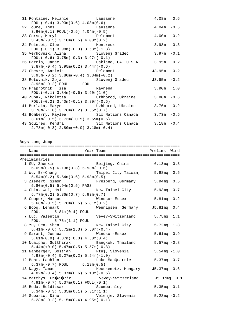| 31 Fontaine, Melanie Chausanne                                         | 4.08m 0.6      |  |
|------------------------------------------------------------------------|----------------|--|
| $FOUL(-0.4)$ 3.93m(0.6) 4.08m(0.6)                                     |                |  |
| 32 Toure, Ines The Lausanne                                            | $4.04m - 0.5$  |  |
| $3.90m(0.1) FOUT(-0.5) 4.04m(-0.5)$                                    |                |  |
| 33 Corso, Meryl<br>Delemont                                            | $4.00m$ 0.2    |  |
| $3.43m(-0.5)$ $3.10m(0.5)$ $4.00m(0.2)$                                |                |  |
| 34 Pointet, Cloe<br>Montreux                                           | $3.98m - 0.3$  |  |
| $FOUL(-0.1)$ 3.98m(-0.3) 3.53m(-1.3)                                   |                |  |
| 35 Verhovnik, Alina                 Slovenj Gradec                     | $3.97m - 0.1$  |  |
| $FOUL(-0.6)$ 3.75m( $-0.3$ ) 3.97m( $-0.1$ )                           |                |  |
| 36 Harris, Janae                   Oakland, CA U S A       3.95m   0.2 |                |  |
| $3.87m(-0.4)$ $3.95m(0.2)$ $3.44m(-0.6)$                               |                |  |
| 37 Chevre, Aaricia in Delemont                                         | $J3.95m - 0.2$ |  |
| $3.95m(-0.2)$ $3.80m(-0.4)$ $3.84m(-0.2)$                              |                |  |
| 38 Rotovnik, Zoja             Slovenj Gradec                           | $J3.95m - 0.2$ |  |
| $3.95m(-0.2)$ FOUL FOUL                                                |                |  |
| 39 Praprotnik, Tisa and Ravnena                                        | $3.90m$ 1.0    |  |
| $FOUL(-0.1)$ 3.84m(-0.6) 3.90m(1.0)                                    |                |  |
| 40 Zubak, Nikoletta (Uzhhorod, Ukraine                                 | $3.80m - 0.6$  |  |
| $FOUL(-0.2)$ 3.40m( $-0.1$ ) 3.80m( $-0.6$ )                           |                |  |
| 41 Burlaka, Maryna               Uzhhorod, Ukraine                     | $3.76m$ 0.2    |  |
| $3.70m(-1.0)$ $3.76m(0.2)$ $3.55m(0.7)$                                |                |  |
| 42 Bomberry, Kaylee Six Nations Canada 3.73m -0.5                      |                |  |
| $3.61m(-0.5)$ $3.73m(-0.5)$ $3.65m(0.6)$                               |                |  |
| 43 Squires, Kendra     Six Nations Canada     3.18m -0.4               |                |  |
| $2.78m(-0.3)$ $2.80m(+0.0)$ $3.18m(-0.4)$                              |                |  |

Boys Long Jump

| Name                                                                  | Year Team No Prelims Wind                                    |                |
|-----------------------------------------------------------------------|--------------------------------------------------------------|----------------|
|                                                                       |                                                              |                |
| Preliminaries                                                         |                                                              |                |
| 1 GU, Zhenxin                                                         | Beijing, China 6.13mq 0.3                                    |                |
| $6.09m(0.5) 6.13m(0.3) 5.93m(-0.6)$                                   |                                                              |                |
| 2 Wu, Er-Chang                                                        | Taipei City Taiwan, 5.98mq 0.5                               |                |
| $5.54m(0.2)$ $5.64m(0.6)$ $5.98m(0.5)$                                |                                                              |                |
| 3 Zienert, Simon                                                      | Freiberg, Germany                                            | 5.94mq 0.5     |
| 5.80m(0.5) 5.94m(0.5) PASS                                            |                                                              |                |
| 4 Chia, Wei, Hsi                                                      | New Taipei City                                              | $5.93mg$ 0.7   |
| 5.77m(0.2) 5.86m(0.7) 5.93m(0.7)                                      |                                                              |                |
|                                                                       | 5 Cooper, Marcus Mindsor-Essex                               | 5.81mq 0.2     |
| $5.68m(-0.5) 5.76m(0.5) 5.81m(0.2)$                                   |                                                              |                |
|                                                                       | 6 Boog, Lennart Mennigsen, Germany J5.81mq 0.4               |                |
| $FOUL$ 5.81m(0.4) $FOUL$                                              |                                                              |                |
|                                                                       | 7 Luc, Valentin <a> Vevey-Switzerland <a> 5.75mq</a> 1.1</a> |                |
| $F0UL$ 5.75m(1.1) $F0UL$                                              |                                                              |                |
| 8 Yu, Sen, Shen                                                       | New Taipei City                                              | 5.72mq 1.3     |
| $5.41m(-0.6) 5.72m(1.3) 5.50m(-0.4)$                                  |                                                              |                |
| 9 Garant, Joshua Mindsor-Essex                                        |                                                              | 5.61mq 0.9     |
| $5.61m(0.9)$ 4.87m(+0.0) 4.50m(0.4)                                   |                                                              |                |
|                                                                       | 10 Nualpho, Sutthirak bangkok, Thailand                      | $5.57mg - 0.8$ |
| $5.44m(+0.0) 5.47m(0.5) 5.57m(-0.8)$                                  |                                                              |                |
| 11 Nahberger, Bostjan     Ptuj, Slovenia                              |                                                              | $5.54mg - 1.0$ |
| $4.93m(-0.4) 5.27m(0.2) 5.54m(-1.0)$                                  |                                                              |                |
| lent, Lachlan Lake<br>5.37m(-0.7) FOUL 5.19m(0.5)<br>12 Bent, Lachlan | Lake MacQuarrie 5.37mq -0.7                                  |                |
|                                                                       |                                                              |                |
| 13 Nagy, Tamas                                                        | Kecskemetz, Hungary 55.37mq 0.6                              |                |
| $4.82m(-0.4) 5.37m(0.6) 5.10m(-0.5)$                                  |                                                              |                |
| 14 Matthys, $FrQdQric$                                                | Vevey-Switzerland J5.37mq 0.1                                |                |
| $4.91m(-0.7) 5.37m(0.1) F0UL(-0.1)$                                   |                                                              |                |
| 15 Boda, Boldizsar <a> Szombathley</a>                                |                                                              | $5.35mg$ 0.1   |
| $5.34m(-0.3) 5.35m(0.1) 5.31m(1.1)$                                   |                                                              |                |
|                                                                       | 16 Subasic, Dino                           Velenje, Slovenia | $5.28mg - 0.2$ |
| $5.28m(-0.2) 5.15m(0.4) 4.95m(-0.1)$                                  |                                                              |                |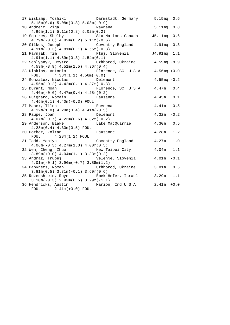| 17 Wiskamp, Yoshiki<br>$5.15m(0.6) 5.08m(0.8) 5.08m(-0.9)$                                     | Darmstadt, Germany 5.15mq 0.6   |                   |        |
|------------------------------------------------------------------------------------------------|---------------------------------|-------------------|--------|
| 18 Andrejc, Ziga<br>4.95m(1.1) 5.11m(0.8) 5.02m(0.2)                                           | Ravnena                         | 5.11mq 0.8        |        |
| 19 Squires, Shelby<br>$4.79m(-0.6)$ $4.82m(0.2)$ $5.11m(-0.6)$                                 | Six Nations Canada J5.11mq -0.6 |                   |        |
| 20 Gilkes, Joseph<br>$4.91m(-0.3)$ $4.81m(0.1)$ $4.55m(-0.3)$                                  | Coventry England 4.91mq -0.3    |                   |        |
| $4.91m(1.1)$ $4.59m(0.3)$ $4.54m(0.1)$                                                         |                                 |                   |        |
| 22 Sehlyanyk, Dmytro (Uzhhorod, Ukraine 4.59mq -8.9<br>$4.59m(-8.9)$ $4.51m(1.5)$ $4.36m(0.4)$ |                                 |                   |        |
| 23 Dinkins, Antonio<br>FOUL $4.38m(1.1) 4.56m(+0.0)$                                           | Florence, SC U S A 4.56mq +0.0  |                   |        |
| 24 Gonzalez, Nicolas<br>Delemont<br>$4.55m(-0.2)$ $4.42m(0.1)$ $4.37m(-0.8)$                   |                                 | $4.55mg - 0.2$    |        |
| 25 Durant, Noah<br>$4.46m(-0.6)$ $4.47m(0.4)$ $4.28m(0.2)$                                     | Florence, SC USA                | $4.47m$ 0.4       |        |
| 26 Guignard, Romain<br>$4.45m(0.1)$ $4.40m(-0.3)$ FOUL                                         | Lausanne                        | 4.45m 0.1         |        |
| 27 Macek, Tilen<br>$4.12m(1.0)$ $4.28m(0.4)$ $4.41m(-0.5)$                                     | Ravnena                         | $4.41m - 0.5$     |        |
| 28 Paupe, Joan<br>Delemont                                                                     |                                 | 4.32m             | $-0.2$ |
| $4.07m(-0.7)$ $4.23m(0.6)$ $4.32m(-0.2)$<br>29 Anderson, Blake                                 | Lake MacQuarrie                 | 4.30m 0.5         |        |
| $4.28m(0.4) 4.30m(0.5)$ FOUL<br>Lausanne<br>30 Horber, Zoltan                                  |                                 | 4.28m             | 1.2    |
| $FOUL$ 4.28m(1.2) FOUL<br>31 Todd, Yahiya<br>$4.06m(-0.3)$ $4.27m(1.0)$ $4.00m(0.5)$           | Coventry England                | 4.27m             | 1.0    |
| 32 Wen, Cheng, Zhuo<br>$3.89m(+0.0)$ 4.04 $m(1.1)$ 3.33 $m(0.2)$                               | New Taipei City                 | 4.04 <sub>m</sub> | 1.1    |
| 33 Andraz, Trupej<br>$4.01m(-0.1)$ 3.96 $m(-0.7)$ 3.88 $m(1.2)$                                | Velenje, Slovenia               | 4.01m             | $-0.1$ |
| 34 Babynets, Roman<br>$3.81m(0.5)$ $3.81m(-0.1)$ $3.60m(0.6)$                                  | Uzhhorod, Ukraine               | $3.81m$ 0.5       |        |
| 35 Rozenshtein, Roye<br>$3.10m(-0.3)$ $2.93m(0.5)$ $3.29m(-1.1)$                               | Emek Hefer, Israel 3.29m        |                   | $-1.1$ |
| 36 Hendricks, Austin Marion, Ind U S A 2.41m<br>$F\text{OUL}$ 2.41m(+0.0) $F\text{OUL}$        |                                 |                   | $+0.0$ |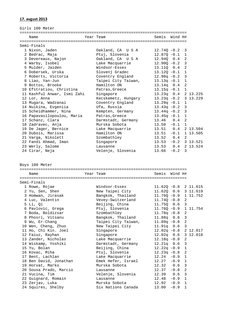### **17. avgust 2013**

Girls 100 Meter

|             | Name                        |  | Year Team           | Semis Wind H#          |  |              |                       |  |
|-------------|-----------------------------|--|---------------------|------------------------|--|--------------|-----------------------|--|
|             |                             |  |                     |                        |  |              |                       |  |
| Semi-Finals |                             |  |                     |                        |  |              |                       |  |
|             | 1 Nixon, Jaden              |  | Oakland, CA USA     | $12.740 - 0.2$ 3       |  |              |                       |  |
|             | 2 Bedrac, Maja              |  | Ptuj, Slovenia      | $12.87Q - 0.1$ 1       |  |              |                       |  |
|             | 3 Devereaux, Najon          |  | Oakland, CA USA     | 12.94Q 0.4 2           |  |              |                       |  |
|             | 4 Warby, Isobel             |  | Lake Macquarrie     | $12.90Q - 0.2$ 3       |  |              |                       |  |
|             | 5 Mulder, Jaiden            |  | Windsor-Essex       | 13.11Q 0.4 2           |  |              |                       |  |
|             | 6 Dobersek, Urska           |  | Slovenj Gradec      | $13.120 - 0.1$ 1       |  |              |                       |  |
|             | 7 Roberts, Victoria         |  | Coventry England    | $12.98q - 0.2$ 3       |  |              |                       |  |
|             | 8 Liao, Yan-Jun             |  | Taipei City Taiwan, | $13.13q -0.1$          |  | $\mathbf{1}$ |                       |  |
|             | 9 Bottos, Brooke            |  | Hamilton ON         | $13.14q$ 0.4 2         |  |              |                       |  |
|             | 10 Efstratiou, Christina    |  | Patras, Greece      | $13.15q - 0.1$ 1       |  |              |                       |  |
|             | 11 Kashful Anwar, Ismi Zahi |  | Singapore           |                        |  |              | 13.23q 0.4 2 13.225   |  |
|             | 12 Lor, Anna                |  | Kecskemetz, Hungary | $13.23q -0.2$ 3 13.229 |  |              |                       |  |
|             | 13 Mugara, Wadzanai         |  | Coventry England    | $13.29q -0.1$ 1        |  |              |                       |  |
|             | 14 Nuikina, Evgeniia        |  | Ufa, Russia         | $13.43q - 0.2$ 3       |  |              |                       |  |
|             | 15 Scheidhammer, Nina       |  | Kempten, Germany    | $13.44q - 0.2$ 3       |  |              |                       |  |
|             | 16 Papavasilopoulou, Maria  |  | Patras, Greece      | $13.45q -0.1$ 1        |  |              |                       |  |
|             | 17 Schanz, Clara            |  | Darmstadt, Germany  | $13.46$ 0.4 2          |  |              |                       |  |
|             | 18 Zadravec, Anja           |  | Murska Sobota       | $13.50 -0.1 1$         |  |              |                       |  |
|             | 19 De Jager, Bernice        |  | Lake Macquarrie     |                        |  |              | 13.51  0.4  2  13.504 |  |
|             | 20 Dubois, Marissa          |  | Hamilton ON         | $13.51 - 0.1 1 13.505$ |  |              |                       |  |
|             | 21 Varga, Nikolett          |  | Szombathley         | $13.52 \t 0.4 \t 2$    |  |              |                       |  |
|             | 22 Fandi Ahmad, Iman        |  | Singapore           | $13.53 -0.2$ 3 13.521  |  |              |                       |  |
|             | 23 Werly, Salome            |  | Lausanne            | 13.53  0.4  2  13.524  |  |              |                       |  |
|             | 24 Cirar, Neja              |  | Velenje, Slovenia   | $13.66 - 0.2$ 3        |  |              |                       |  |

Boys 100 Meter

======================================================================== Name Year Team Semis Wind H# ======================================================================== Semi-Finals 1 Rowe, Rojae Windsor-Essex 11.62Q -0.8 2 11.615 2 Yu, Sen, Shen New Taipei City 11.62Q 0.6 3 11.619 3 Homwan, Jirasak Bangkok, Thailand 11.76Q -0.9 1 11.752 4 Luc, Valentin Vevey-Switzerland 11.74Q -0.8 2 5 Li, Qi Beijing, China 11.75Q 0.6 3 6 Pavlovic, Grega Ptuj, Slovenia 11.76Q -0.9 1 11.754 7 Boda, Boldizsar Szombathley 11.78q -0.8 2 8 Phosri, Vitsanu Bangkok, Thailand 11.88q 0.6 3 9 Wu, Er-Chang Taipei City Taiwan, 11.89q -0.8 2 10 Wen, Cheng, Zhuo New Taipei City 11.91q 0.6 3 11 Ho, Chi Kin. Joel Singapore 12.02q -0.8 2 12.017 12 Faiuz, Rayhan Singapore 12.02q 0.6 3 12.018 13 Zander, Nicholas Lake Macquarrie 12.18q -0.8 2 14 Wiskamp, Yoshiki Darmstadt, Germany 12.21q 0.6 3 15 Yu, Bolan Beijing, China 12.22q -0.9 1 16 Kovac, Miha Ptuj, Slovenia 12.23q -0.8 2 17 Bent, Lachlan Lake Macquarrie 12.24 -0.9 1 18 Ben David, Jonathan Emek Hefer, Israel 12.27 -0.9 1 19 Horvat, Marko Murska Sobota 12.32 0.6 3 20 Sousa Prado, Marcio Lausanne 12.37 -0.8 2 21 Vucina, Tim Velenje, Slovenia 12.39 0.6 3 20 Sousa Prado, Marcio (12.37 -0.8 2<br>21 Vucina, Tim (12.37 -0.8 2<br>22 Guignard, Romain (12.48 -0.9 1 23 Zerjav, Luka Murska Sobota 12.92 -0.9 1 24 Squires, Shelby Six Nations Canada 13.00 -0.9 1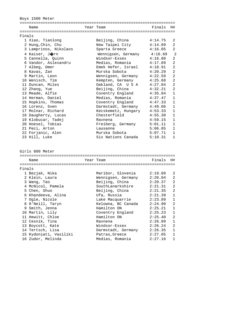Boys 1500 Meter

|        | Name                   |  | Year Team           | Finals  | H#             |  |  |
|--------|------------------------|--|---------------------|---------|----------------|--|--|
|        |                        |  |                     |         |                |  |  |
| Finals |                        |  |                     |         |                |  |  |
|        | 1 Xiao, Tianlong       |  | Beijing, China      | 4:14.75 | 2              |  |  |
|        | 2 Hung, Chin, Chu      |  | New Taipei City     | 4:14.89 | 2              |  |  |
|        | 3 Lamprinos, Nikolaos  |  | Sparta Greece       | 4:16.05 | $\overline{2}$ |  |  |
|        | 4 Kaiser, Jorn         |  | Wennigsen, Germany  | 4:16.69 | 2              |  |  |
|        | 5 Cannella, Quinn      |  | Windsor-Essex       | 4:16.80 | $\overline{a}$ |  |  |
|        | 6 Vandor, Aslexandru   |  | Medias, Romania     | 4:17.89 | $\overline{a}$ |  |  |
|        | 7 Albeg, Omer          |  | Emek Hefer, Israel  | 4:18.91 | $\overline{2}$ |  |  |
|        | 8 Kavas, Zan           |  | Murska Sobota       | 4:20.29 | $\overline{2}$ |  |  |
|        | 9 Martin, Leon         |  | Wennigsen, Germany  | 4:22.59 | $\overline{2}$ |  |  |
|        | 10 Wenisch, Tim        |  |                     | 4:25.68 | 2              |  |  |
|        |                        |  | Kempten, Germany    |         | $\overline{2}$ |  |  |
|        | 11 Duncan, Miles       |  | Oakland, CA U S A   | 4:27.84 |                |  |  |
|        | 12 Zhang, Yue          |  | Beijing, China      | 4:32.21 | $\overline{2}$ |  |  |
|        | 13 Meade, Alfie        |  | Coventry England    | 4:35.84 | $\mathbf 1$    |  |  |
|        | 14 Herman, Daniel      |  | Medias, Romania     | 4:37.47 | $\mathbf{1}$   |  |  |
|        | 15 Hopkins, Thomas     |  | Coventry England    | 4:47.33 | $\mathbf{1}$   |  |  |
|        | 16 Lorenz, Sven        |  | Darmstadt, Germany  | 4:49.06 | 1              |  |  |
|        | 17 Molnar, Richard     |  | Kecskemetz, Hungary | 4:53.33 | $\mathbf 1$    |  |  |
|        | 18 Daugherty, Lucas    |  | Chesterfield        | 4:55.30 | $\mathbf{1}$   |  |  |
|        | 19 Klobucar, Tadej     |  | Ravnena             | 4:59.15 | $\mathbf{1}$   |  |  |
|        | 20 Hoesel, Tobias      |  | Freiberg, Germany   | 5:01.11 | $\mathbf{1}$   |  |  |
|        | 21 Peci, Arton         |  | Lausanne            | 5:06.85 | $\mathbf{1}$   |  |  |
|        | 22 Forjanic, Alen      |  | Murska Sobota       | 5:07.71 | 1              |  |  |
|        | 23 Hill, Luke          |  | Six Nations Canada  | 5:10.31 | 1              |  |  |
|        |                        |  |                     |         |                |  |  |
|        |                        |  |                     |         |                |  |  |
|        | Girls 800 Meter        |  |                     |         |                |  |  |
|        | Name                   |  | Year Team           | Finals  | H#             |  |  |
|        |                        |  |                     |         |                |  |  |
| Finals |                        |  |                     |         |                |  |  |
|        | 1 Bezjak, Nika         |  | Maribor, Slovenia   | 2:19.89 | 2              |  |  |
|        | 2 Klein, Laura         |  | Wennigsen, Germany  | 2:20.04 | 2              |  |  |
|        | 3 Wang, Tao            |  | Beijing, China      | 2:20.37 | 2              |  |  |
|        | 4 McNicol, Pamela      |  | SouthLanarkshire    | 2:21.31 | 2              |  |  |
|        | 5 Chen, Shuo           |  | Beijing, China      | 2:21.35 | 2              |  |  |
|        | 6 Khandeeva, Alina     |  | Ufa, Russia         | 2:21.39 | 1              |  |  |
|        | 7 Ogle, Nicole         |  | Lake Macquarrie     | 2:23.89 | 1              |  |  |
|        | 8 O'Neill, Taryn       |  | Kelowna, BC Canada  | 2:24.90 | $\overline{a}$ |  |  |
|        | 9 Smith, Jenna         |  | Hamilton ON         | 2:25.21 | 1              |  |  |
|        |                        |  |                     |         |                |  |  |
|        | 10 Martin, Lily        |  | Coventry England    | 2:25.23 | 1              |  |  |
|        | 11 Hewitt, Chloe       |  | Hamilton ON         | 2:25.40 | 2              |  |  |
|        | 12 Cesnik, Tina        |  | Ravnena             | 2:26.09 | 1              |  |  |
|        | 13 Boycott, Kate       |  | Windsor-Essex       | 2:26.24 | 2              |  |  |
|        | 14 Tertsch, Lisa       |  | Darmstadt, Germany  | 2:26.35 | 1              |  |  |
|        | 15 Kydoniati, Vasiliki |  | Patras, Greece      | 2:27.05 | 1              |  |  |
|        | 16 Zudor, Melinda      |  | Medias, Romania     | 2:27.16 | 1              |  |  |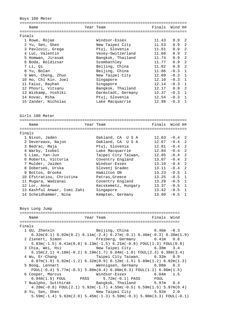Boys 100 Meter

|        | Name                 | Year Team          | Finals      | Wind H#  |                |
|--------|----------------------|--------------------|-------------|----------|----------------|
|        |                      |                    |             |          |                |
| Finals |                      |                    |             |          |                |
|        | 1 Rowe, Rojae        | Windsor-Essex      | 11.43       | 0.9      | -2.            |
|        | 2 Yu, Sen, Shen      | New Taipei City    | 11.53       | 0.9      | 2              |
|        | 3 Pavlovic, Grega    | Ptuj, Slovenia     | 11.61       | 0.9      | $\mathfrak{D}$ |
|        | 4 Luc, Valentin      | Vevey-Switzerland  | 11.68       | 0.9      | $\mathfrak{D}$ |
|        | 5 Homwan, Jirasak    | Bangkok, Thailand  | 11.74       | 0.9      | 2              |
|        | 6 Boda, Boldizsar    | Szombathley        | 11.77       | 0.9      | $\mathfrak{D}$ |
|        | 7 Li, Oi             | Beijing, China     | 11.82       | 0.9      | $\mathcal{L}$  |
|        | 8 Yu, Bolan          | Beijing, China     | 11.86       | $-0.3$ 1 |                |
|        | 9 Wen, Cheng, Zhuo   | New Taipei City    | 12.09       | $-0.3$ 1 |                |
|        | 10 Ho, Chi Kin. Joel | Singapore          | 12.10       | $-0.3$ 1 |                |
|        | 11 Faiuz, Rayhan     | Singapore          | 12.14       | $-0.3$ 1 |                |
|        | 12 Phosri, Vitsanu   | Bangkok, Thailand  | $12.17$ 0.9 |          | $\mathfrak{D}$ |
|        | 13 Wiskamp, Yoshiki  | Darmstadt, Germany | 12.37       | $-0.3$   | $\overline{1}$ |
|        | 14 Kovac, Miha       | Ptuj, Slovenia     | 12.54       | $-0.3$   | $\overline{1}$ |
|        | 15 Zander, Nicholas  | Lake Macquarrie    | 12.98       | $-0.3$   |                |

Girls 100 Meter

|        | Name                        | Year Team           | Finals | Wind H#  |                |
|--------|-----------------------------|---------------------|--------|----------|----------------|
|        |                             |                     |        |          |                |
| Finals |                             |                     |        |          |                |
|        | 1 Nixon, Jaden              | Oakland, CA U S A   | 12.63  | $-0.4$ 2 |                |
|        | 2 Devereaux, Najon          | Oakland, CA U S A   | 12.67  | $-0.4$   | $\mathcal{L}$  |
|        | 3 Bedrac, Maja              | Ptuj, Slovenia      | 12.81  | $-0.4$   | $\overline{2}$ |
|        | 4 Warby, Isobel             | Lake Macquarrie     | 12.84  | $-0.4$ 2 |                |
|        | 5 Liao, Yan-Jun             | Taipei City Taiwan, | 12.85  | $-0.4$   | $\overline{2}$ |
|        | 6 Roberts, Victoria         | Coventry England    | 13.07  | $-0.4$   | $\overline{2}$ |
|        | 7 Mulder, Jaiden            | Windsor-Essex       | 13.10  | $-0.4$ 2 |                |
|        | 8 Dobersek, Urska           | Slovenj Gradec      | 13.11  | $-0.4$ 2 |                |
|        | 9 Bottos, Brooke            | Hamilton ON         | 13.23  | $-0.5$   | $\overline{1}$ |
|        | 10 Efstratiou, Christina    | Patras, Greece      | 13.25  | $-0.5$   | $\overline{1}$ |
| 11     | Muqara, Wadzanai            | Coventry England    | 13.29  | $-0.5$   | $\overline{1}$ |
|        | 12 Lor, Anna                | Kecskemetz, Hungary | 13.37  | $-0.5$   | $\mathbf{1}$   |
|        | 13 Kashful Anwar, Ismi Zahi | Singapore           | 13.42  | $-0.5$   | $\overline{1}$ |
|        | 14 Scheidhammer, Nina       | Kempten, Germany    | 13.80  | $-0.5$   |                |

Boys Long Jump

|        | Name             | Year Team                                                                                                                 | Finals Wind |  |
|--------|------------------|---------------------------------------------------------------------------------------------------------------------------|-------------|--|
|        |                  |                                                                                                                           |             |  |
| Finals |                  |                                                                                                                           |             |  |
|        | 1 GU, Zhenxin    | Beijing, China $6.46m - 0.3$                                                                                              |             |  |
|        |                  | $6.32$ m $(0.1)$ $6.02$ m $(0.2)$ $6.11$ m $(-2.4)$ $6.27$ m $(-0.1)$ $6.46$ m $(-0.3)$ $6.38$ m $(1.9)$                  |             |  |
|        |                  | 2 Zienert, Simon Freiberg, Germany 6.41m 0.8                                                                              |             |  |
|        |                  | $5.83$ m( $-1.5$ ) 6.41m(0.8) 6.13m( $-1.5$ ) 6.21m( $-0.8$ ) FOUL(1.3) FOUL(0.8)                                         |             |  |
|        |                  | 3 Chia, Wei, Hsi             New Taipei City           6.38m   3.4                                                        |             |  |
|        |                  | $6.15\text{m}(2.1)$ $4.18\text{m}(-0.2)$ $6.19\text{m}(1.7)$ $6.04\text{m}(-1.0)$ $FOUL(2.3)$ $6.38\text{m}(3.4)$         |             |  |
|        | 4 Wu, Er-Chang   |                                                                                                                           |             |  |
|        |                  | $6.07\text{m}(1.9)$ $5.82\text{m}(-1.2)$ $6.32\text{m}(0.9)$ $6.12\text{m}(-1.5)$ $5.89\text{m}(1.2)$ $6.02\text{m}(1.3)$ |             |  |
|        | 5 Boog, Lennart  | Wennigsen, Germany 6.08m 0.3                                                                                              |             |  |
|        |                  | $FOUT(-0.4)$ 5.77m(-0.5) 5.88m(0.4) 6.08m(0.3) $FOUT(1.1)$ 6.06m(1.5)                                                     |             |  |
|        | 6 Cooper, Marcus |                                                                                                                           |             |  |
|        |                  | $6.04$ m $(1.5)$ FOUL PASS $5.72$ m $(-0.1)$ PASS FOUL                                                                    |             |  |
|        |                  | 7 Nualpho, Sutthirak           Bangkok, Thailand         5.97m   0.4                                                      |             |  |
|        |                  | $4.28$ m(-0.8) FOUL(2.1) 5.92m(-1.7) $4.55$ m(-0.5) 5.59m(1.5) 5.97m(0.4)                                                 |             |  |
|        |                  | 8 Yu, Sen, Shen New Taipei City 5.92m 2.0                                                                                 |             |  |
|        |                  | $5.59$ m( $-1.4$ ) $5.92$ m( $2.0$ ) $5.45$ m( $-1.3$ ) $5.59$ m( $-0.3$ ) $5.90$ m( $3.3$ ) $F0$ UL( $-0.1$ )            |             |  |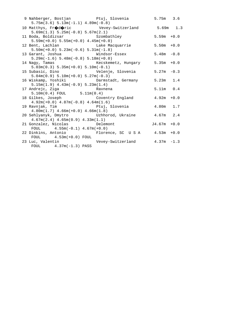| 9 Nahberger, Bostjan               Ptuj, Slovenia               5.75m   3.6<br>$5.75m(3.6) 5.13m(-1.1) 4.89m(-0.8)$ |                                |                |  |
|---------------------------------------------------------------------------------------------------------------------|--------------------------------|----------------|--|
| 10 Matthys, Fr $\bigcirc$ d $\bigcirc$ ric Vevey-Switzerland 5.69m 1.3<br>$5.69m(1.3) 5.25m(-0.8) 5.67m(2.1)$       |                                |                |  |
| 11 Boda, Boldizsar<br>Szombathley<br>Szombathley<br>5.59m +0.0<br>$5.59m(+0.0) 5.55m(+0.0) 4.45m(+0.0)$             |                                |                |  |
| 12 Bent, Lachlan Contact Lake Macquarrie<br>$5.50m(+0.0) 5.23m(-0.6) 5.31m(-1.8)$                                   |                                | $5.50m + 0.0$  |  |
| $5.29m(-1.6) 5.48m(-0.8) 5.18m(+0.0)$                                                                               |                                |                |  |
| 14 Nagy, Tamas<br>$5.03m(0.3) 5.35m(+0.0) 5.10m(-0.1)$                                                              | Kecskemetz, Hungary 5.35m +0.0 |                |  |
| 15 Subasic, Dino $Velenje$ , Slovenia $5.27m -0.3$<br>$5.04m(0.9) 5.10m(+0.0) 5.27m(-0.3)$                          |                                |                |  |
| 16 Wiskamp, Yoshiki (Darmstadt, Germany 5.23m 1.4<br>$5.15m(1.9)$ $4.43m(-0.9)$ $5.23m(1.4)$                        |                                |                |  |
| 17 Andrejc, Ziga<br><b>Example 12</b> Ravnena<br>$5.10m(0.4)$ FOUL $5.11m(0.4)$                                     |                                | $5.11m$ 0.4    |  |
| 18 Gilkes, Joseph Coventry England 4.92m +0.0<br>$4.92m(+0.0)$ $4.87m(-0.8)$ $4.64m(1.6)$                           |                                |                |  |
| $4.80m(1.7)$ $4.66m(+0.0)$ $4.66m(1.8)$                                                                             |                                |                |  |
| 20 Sehlyanyk, Dmytro       Uzhhorod, Ukraine       4.67m   2.4<br>$4.67m(2.4)$ $4.65m(0.9)$ $4.33m(1.1)$            |                                |                |  |
| 21 Gonzalez, Nicolas belemont<br>FOUL $4.55m(-0.1) 4.67m(+0.0)$                                                     |                                | $J4.67m + 0.0$ |  |
| 22 Dinkins, Antonio Florence, SC U S A 4.53m +0.0<br>$FOUL$ 4.53m(+0.0) FOUL                                        |                                |                |  |
| 23 Luc, Valentin $V$ Vevey-Switzerland 4.37m -1.3<br>FOUL $4.37m(-1.3)$ PASS                                        |                                |                |  |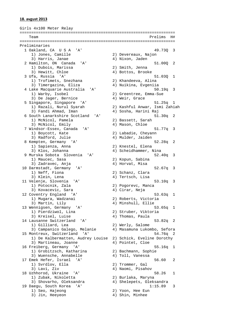### **18. avgust 2013**

Girls 4x100 Meter Relay =================================================================== Team Prelims H# =================================================================== Preliminaries 1 Oakland, CA U S A 'A' 49.73Q 3 1) Jones, Camille 2) Devereaux, Najon 3) Harris, Janae 4) Nixon, Jaden 2 Hamilton, ON Canada 'A' 51.00Q 2 1) Dubois, Marissa 2) Smith, Jenna 3) Hewitt, Chloe (4) Bottos, Brooke 3 Ufa, Russia 'A' 51.03Q 1 1) Trofimets, Snezhana 2) Khandeeva, Alina 3) Timergazina, Eliza 4) Nuikina, Evgeniia 4 Lake Macquarie Australia 'A' 50.19q 3 1) Warby, Isobel 2) Greentree, Emma-Sue 3) De Jager, Bernice (4) Weir, Grace 5 Singapore, Singapore 'A' 51.25q 1 1) Razali, Nurul Syarah 2) Kashful Anwar, Ismi Zahiah 3) Fandi Ahmad, Iman (4) Sosha, Harini Raj 6 South Lanarkshire Scotland 'A' 51.30q 2 1) McNicol, Pamela 2) Bassett, Sarah 3) McNicol, Emily 4) Mason, Chloe 7 Windsor-Essex, Canada 'A' 51.77q 3 1) Boycott, Kate 2) Labadie, Cheyann 3) Radford, Julie 4) Mulder, Jaiden 8 Kempten, Germany 'A' 52.28q 2 1) Sapienza, Anna 2) Knestel, Elena 3) Klos, Johanna 4) Scheidhammer, Nina 9 Murska Sobota Slovenia 'A' 52.40q 3 1) Maucec, Sasa 2) Kopun, Sabina 3) Zadravec, Anja (4) Horvat, Misa 10 Darmstadt, Germany 'A' 52.67q 3 1) Neff, Fiona 2) Schanz, Clara 3) Klein, Lena (4) Tertsch, Lisa 11 Velenje, Slovenia 'A' 53.10q 3 1) Potocnik, Zala 2) Pogorevc, Manca 3) Kovacevic, Sara (4) Cirar, Neja 12 Coventry England 'A' 53.63q 1 1) Mugara, Wadzanai (2) Roberts, Victoria<br>3) Martin, Lily (2) 4) Minshull, Ellie 4) Minshull, Ellie 13 Wennigsen, Germany 'A' 53.65q 1 1) Pierdziwol, Lina 2) Struber, Viktoria 3) Kreisel, Luise 4) Thomas, Paula 14 Lausanne Switzerland 'A' 53.82q 2 1) Gilliard, Lea 2) Werly, Salome 3) Campanico Galego, Melanie 4) Masamuna Lukombo, Sefora 15 Montreux, Switzerland 'A' 54.76q 2 1) De Kalbermatten, Audrey Louise 2) Schick, Eveline Dorothy 3) Martineau, Joanne (4) Pointet, Cloe 16 Freiberg, Germany 'A' 55.16q 1 1) Grobitzsch, Katharina 2) Bachmann, Sophie 3) Wuensche, Annabelle 4) Toll, Vanessa 17 Emek Hefer, Israel 'A' 56.60 2 1) Svrdlov, Ella 2) Trommer, Gal 3) Lavi, Ziv (2008) (4) Naomi, Pisahov 18 Uzhhorod, Ukraine 'A' 58.26 1 1) Zubak, Nikoletta 2) Burlaka, Maryna 3) Shovarho, Oleksandra 4) Shelepets, Oleksandra 19 Daegu, South Korea 'A' 1:15.89 3 1) Seo, Hajeong 2) Yoon, Hee Eun 3) Jin, Heeyeon 4) Shin, Minhee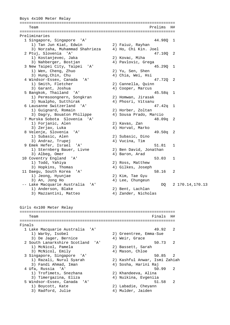Boys 4x100 Meter Relay =================================================================== Team Prelims H# =================================================================== Preliminaries 1 Singapore, Singapore 'A' 44.98Q 1 1) Tan Jun Kiat, Edwin 2) Faiuz, Rayhan 3) Norzaha, Muhammad Shahrieza 4) Ho, Chi Kin. Joel 2 Ptuj, Slovenia 'A' 47.10Q 2 1) Kostanjevec, Jaka (2) Kovac, Miha<br>3) Nahberger, Bostjan (2) 4) Pavlovic, Grega 3) Nahberger, Bostjan 3 New Taipei City, Taipei 'A' 45.290 1<br>
1) Wen, Cheng, Zhuo 2) Yu, Sen, Shen 1) Wen, Cheng, Zhuo<br>1) Wen, Cheng, Zhuo 3) Hung, Chin, Chu 4) Chia, Wei, Hsi 4 Windsor-Essex, Canada 'A' 47.72Q 2 1) Smith, Fletcher 1) Smith, Fletcher (2) Cannella, Quinn<br>3) Garant, Joshua (4) Cooper, Marcus 5 Bangkok, Thailand 'A' 45.58q 1 1) Permsoongnern, Songkran 2) Homwan, Jirasak 3) Nualpho, Sutthirak 4) Phosri, Vitsanu 6 Lausanne Switzerland 'A' 47.42q 1 1) Guignard, Romain 3) Dagry, Bouaton Philippe 4) Sousa Prado, Marcio 7 Murska Sobota Slovenia 'A' 48.09q 2 1) Forjanic, Alen 2) Kavas, Zan 3) Zerjav, Luka 4) Horvat, Marko 8 Velenje, Slovenia 'A' 49.50q 2 1) Subasic, Alen 2) Subasic, Dino 3) Andraz, Trupej 4) Vucina, Tim 9 Emek Hefer, Israel 'A' 51.81 1<br>
1 Sternberg Bauer, Livne 2) Ben David, Jonathan 1) Sternberg Bauer, Livne 3) Albeg, Omer 4) Baron, Arad 10 Coventry England 'A' 53.03 1<br>1) Todd, Yahiya 2) Ross, Matthew<br>3) Hopkins, Thomas 4) Gilkes, Joseph 1) Todd, Yahiya 2) Ross, Matthew 3) Hopkins, Thomas (4) Gilkes, Joseph 11 Daegu, South Korea 'A' 58.16 58.16 58.16 58.16 58.16 58.16 58.16 58.16 1 1) Jeong, Hyunjae 3) An, Jong Ho 4) Lee, Chungeun -- Lake Macquarie Australia 'A' DQ 2 170.14,170.13 1) Anderson, Blake 2) Bent, Lachlan 3) Mazzantini, Matteo  $4)$  Zander, Nicholas Girls 4x100 Meter Relay =================================================================== Team Finals H# =================================================================== Finals 1 Lake Macquarie Australia 'A' 49.92 2 1) Warby, Isobel 2) Greentree, Emma-Sue 3) De Jager, Bernice (4) Weir, Grace 2 South Lanarkshire Scotland 'A' 50.73 2 1) McNicol, Pamela 2) Bassett, Sarah 3) McNicol, Emily (4) Mason, Chloe 3 Singapore, Singapore 'A' 50.85 2 1) Razali, Nurul Syarah 2) Kashful Anwar, Ismi Zahiah 3) Fandi Ahmad, Iman (4) Sosha, Harini Raj 4 Ufa, Russia 'A' 50.99 2 1) Trofimets, Snezhana 3) Timergazina, Eliza 4) Nuikina, Evgeniia 5 Windsor-Essex, Canada 'A' 51.58 2 1) Boycott, Kate 2) Labadie, Cheyann 3) Radford, Julie 4) Mulder, Jaiden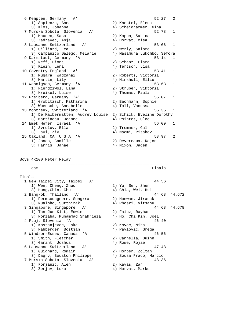6 Kempten, Germany 'A' 52.27 2 1) Sapienza, Anna 2) Knestel, Elena 3) Klos, Johanna 4) Scheidhammer, Nina 7 Murska Sobota Slovenia 'A' 52.78 1 1) Maucec, Sasa 2) Kopun, Sabina 3) Zadravec, Anja 4) Horvat, Misa 8 Lausanne Switzerland 'A' 53.06 1 1) Gilliard, Lea 2) Werly, Salome 3) Campanico Galego, Melanie 4) Masamuna Lukombo, Sefora 9 Darmstadt, Germany 'A' 53.14 1<br>
1) Neff, Fiona 2) Schanz, Clara 1) Neff, Fiona (2) Schanz, Clara<br>3) Klein, Lena (4) Tertsch, Lisa 4) Tertsch, Lisa  $53.41$  1 10 Coventry England 'A' 1) Mugara, Wadzanai 2) Roberts, Victoria 3) Martin, Lily 4) Minshull, Ellie 11 Wennigsen, Germany 'A' 53.63 1 1) Pierdziwol, Lina 2) Struber, Viktoria 1) Pierdziwol, Lina (2) Struber, Viktoria<br>3) Kreisel, Luise (4) Thomas, Paula 12 Freiberg, Germany 'A' 55.07 1 1) Grobitzsch, Katharina 2) Bachmann, Sophie 3) Wuensche, Annabelle 4) Toll, Vanessa 13 Montreux, Switzerland 'A' 55.35 1 1) De Kalbermatten, Audrey Louise 2) Schick, Eveline Dorothy 3) Martineau, Joanne 14 Emek Hefer, Israel 'A' 56.09 1 1) Svrdlov, Ella (2) Trommer, Gal<br>3) Lavi, Ziv (4) Naomi, Pisahc 4) Naomi, Pisahov 15 Oakland, CA U S A 'A' 58.97 58.97 2<br>1) Jones, Camille 2) Devereaux, Najon 1) Jones, Camille 2) Devereaux, Na<br>3) Harris, Janae 20 (4) Nixon, Jaden 3) Harris, Janae Boys 4x100 Meter Relay ================================================================ Team Finals ================================================================ Finals 1 New Taipei City, Taipei 'A' 44.56<br>
1) Wen, Cheng, Zhuo 2) Yu, Sen, Shen<br>
3) Hung, Chin, Chu 4) Chia, Wei, Hsi 1) Wen, Cheng, Zhuo 3) Hung,Chin, Chu<br>2 Bangkok, Thailand 'A' 2 Bangkok, Thailand 'A' 44.68 44.672 1) Permsoongnern, Songkran 2) Homwan, Jirasak 3) Nualpho, Sutthirak (4) Phosri, Vitsanu 3 Singapore, Singapore 'A' 44.68 44.678 1) Tan Jun Kiat, Edwin (2) Faiuz, Rayhan 3) Norzaha, Muhammad Shahrieza 4) Ho, Chi Kin. Joel 4 Ptuj, Slovenia 'A' 46.40 1) Kostanjevec, Jaka 2) Kovac, Miha 3) Nahberger, Bostjan 4) Pavlovic, Grega 5 Windsor-Essex, Canada 'A' 46.56 1) Smith, Fletcher 2) Cannella, Quinn 3) Garant, Joshua (4) Rowe, Rojae 6 Lausanne Switzerland 'A' 47.43 1) Guignard, Romain 2) Horber, Zoltan 3) Dagry, Bouaton Philippe 4) Sousa Prado, Marcio 7 Murska Sobota Slovenia 'A' 48.36 1) Forjanic, Alen 2) Kavas, Zan 3) Zerjav, Luka (4) Horvat, Marko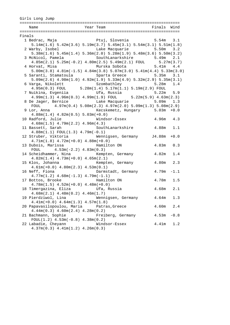| Girls Long Jump |                                                                                                                                                        |                                  |               |        |
|-----------------|--------------------------------------------------------------------------------------------------------------------------------------------------------|----------------------------------|---------------|--------|
|                 | Name                                                                                                                                                   | Year Team No Team Pinals Wind    |               |        |
| Finals          |                                                                                                                                                        |                                  |               |        |
|                 | 1 Bedrac, Maja (and Stuj, Slovenia (b. 5.54m) 3.1                                                                                                      |                                  |               |        |
|                 | $5.14$ m $(1.6)$ $5.42$ m $(3.6)$ $5.19$ m $(3.7)$ $5.45$ m $(3.1)$ $5.54$ m $(3.1)$ $5.51$ m $(1.8)$                                                  |                                  |               |        |
|                 | 2 Warby, Isobel                                                                                                                                        | Lake Macquarie 5.50m 3.2         |               |        |
|                 | $5.38$ m $(1.6)$ $5.45$ m $(1.4)$ $5.36$ m $(2.0)$ $5.28$ m $(1.9)$ $5.48$ m $(3.6)$ $5.50$ m $(3.2)$                                                  |                                  |               |        |
|                 |                                                                                                                                                        |                                  |               | 2.1    |
|                 |                                                                                                                                                        |                                  |               |        |
|                 | $4.85\mathrm{m}(2.1) \;\; 5.25\mathrm{m}(-0.2) \;\; 4.80\mathrm{m}(2.5) \;\; 5.49\mathrm{m}(2.1) \;\; \mathrm{FOUL} \qquad \qquad 5.27\mathrm{m}(3.7)$ |                                  |               |        |
|                 | 4 Horvat, Misa (1992) Murska Sobota (1994) 5.41m (1994)                                                                                                |                                  |               |        |
|                 | $5.00m(3.8)$ $4.81m(-1.5)$ $4.84m(3.8)$ $5.07m(3.0)$ $5.41m(4.4)$ $5.33m(3.0)$                                                                         |                                  |               |        |
|                 | 5 Saranti, Stamatoula by Sparta Greece 5.35m 3.1                                                                                                       |                                  |               |        |
|                 | $5.09m(2.6)$ $4.98m(1.0)$ $4.92m(1.9)$ $5.33m(4.9)$ $5.32m(2.9)$ $5.35m(3.1)$                                                                          |                                  |               |        |
|                 |                                                                                                                                                        | Szombathley 5.28m 1.4            |               |        |
|                 | 6 Varga, Nikolett Szombathley 5.28m<br>4.95m(0.3) FOUL 5.28m(1.4) 5.17m(1.1) 5.19m(2.9) FOUL                                                           |                                  |               |        |
|                 | 7 Nuikina, Evgeniia               Ufa, Russia                                                                                                          |                                  | $5.22m$ $5.9$ |        |
|                 | $4.99m(1.3)$ $4.96m(0.3)$ $4.99m(1.9)$ FOUL $5.22m(5.9)$ $4.63m(2.3)$                                                                                  |                                  |               |        |
|                 | 8 De Jager, Bernice $\qquad \qquad$ Lake Macquarie $\qquad \qquad 5.09 \text{m} \qquad 1.3$                                                            |                                  |               |        |
|                 | FOUL $4.97m(0.4) 5.08m(2.3) 4.97m(2.0) 5.09m(1.3) 5.08m(2.9)$                                                                                          |                                  |               |        |
|                 | 9 Lor, Anna                                                                                                                                            | Kecskemetz, Hungary 5.03m +0.0   |               |        |
|                 | $4.88m(1.4)$ $4.82m(0.5)$ $5.03m(+0.0)$                                                                                                                |                                  |               |        |
|                 | 10 Radford, Julie Mindsor-Essex 4.96m 4.3                                                                                                              |                                  |               |        |
|                 | $4.68m(1.5)$ $4.79m(2.2)$ $4.96m(4.3)$                                                                                                                 |                                  |               |        |
|                 | 11 Bassett, Sarah                                                                                                                                      | SouthLanarkshire 4.88m           |               | 1.1    |
|                 | $4.88m(1.1) FOUL(1.3) 4.79m(-0.1)$                                                                                                                     |                                  |               |        |
|                 | 12 Struber, Viktoria (Wennigsen, Germany J4.88m +0.0                                                                                                   |                                  |               |        |
|                 | $4.71m(1.8)$ $4.72m(+0.0)$ $4.88m(+0.0)$                                                                                                               |                                  |               |        |
|                 |                                                                                                                                                        |                                  |               |        |
|                 | 13 Dubois, Marissa               Hamilton ON                                                                                                           |                                  | 4.83m         | 0.3    |
|                 | FOUL $4.53m(-2.2) 4.83m(0.3)$                                                                                                                          |                                  |               |        |
|                 | 14 Scheidhammer, Nina Kempten, Germany 4.82m                                                                                                           |                                  |               | 1.4    |
|                 | $4.82m(1.4)$ $4.73m(+0.0)$ $4.65m(2.1)$                                                                                                                |                                  |               |        |
|                 | 15 Klos, Johanna (and Kempten, Germany 1.80m 2.3                                                                                                       |                                  |               |        |
|                 | $4.61m(+0.0)$ $4.80m(2.3)$ $4.53m(0.1)$                                                                                                                |                                  |               |        |
|                 | 16 Neff, Fiona                                                                                                                                         | Darmstadt, Germany $4.79$ m -1.1 |               |        |
|                 | $4.77m(1.2)$ $4.68m(-1.3)$ $4.79m(-1.1)$                                                                                                               |                                  |               |        |
|                 | 17 Bottos, Brooke                                                                                                                                      | $4.78m$ 1.5<br>Hamilton ON       |               |        |
|                 | $4.78m(1.5)$ $4.52m(+0.0)$ $4.48m(+0.0)$                                                                                                               |                                  |               |        |
|                 |                                                                                                                                                        |                                  |               |        |
|                 | $4.68m(2.1)$ $4.48m(0.2)$ $4.46m(1.7)$                                                                                                                 |                                  |               |        |
|                 | 19 Pierdziwol, Lina                                                                                                                                    | Wennigsen, Germany               | 4.64m         | 1.3    |
|                 | $4.41m(+0.0)$ $4.64m(1.3)$ $4.57m(1.8)$                                                                                                                |                                  |               |        |
|                 | 20 Papavasilopoulou, Maria                                                                                                                             | Patras, Greece                   | 4.60m         | 2.4    |
|                 | $4.44m(0.3)$ $4.60m(2.4)$ $4.28m(0.2)$                                                                                                                 |                                  |               |        |
|                 |                                                                                                                                                        |                                  |               |        |
|                 | 21 Bachmann, Sophie                                                                                                                                    | Freiberg, Germany                | 4.53m         | $-0.8$ |
|                 | $FOUL(1.2)$ 4.53m( $-0.8$ ) 4.38m( $0.2$ )                                                                                                             |                                  |               |        |
|                 | 22 Labadie, Cheyann                                                                                                                                    | Windsor-Essex                    | 4.41m         | 1.2    |
|                 | $4.37m(0.3)$ $4.41m(1.2)$ $4.26m(0.3)$                                                                                                                 |                                  |               |        |